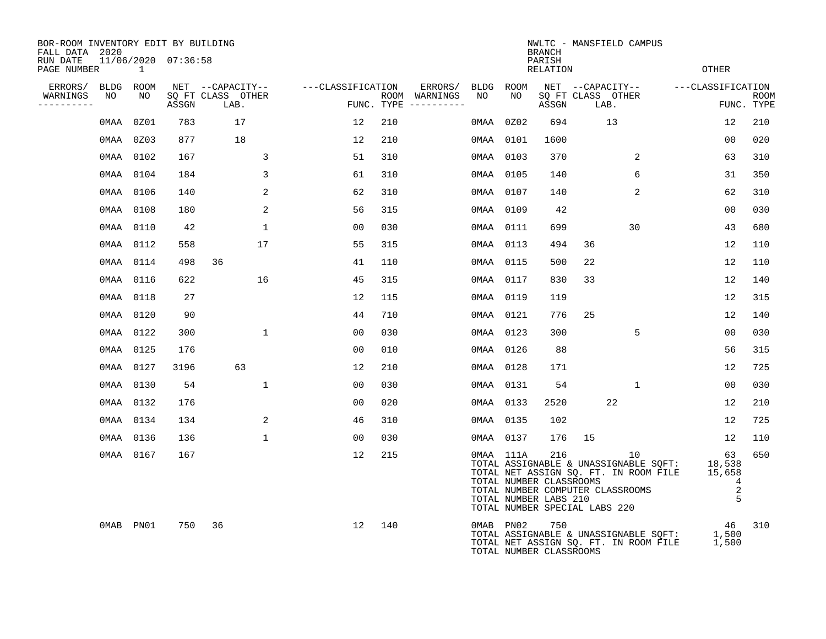| BOR-ROOM INVENTORY EDIT BY BUILDING<br>FALL DATA 2020 |           |      |                     |                           | NWLTC - MANSFIELD CAMPUS<br><b>BRANCH</b> |     |                                      |      |           |                                                                                                                              |    |                           |                                                                                |                   |                                       |             |
|-------------------------------------------------------|-----------|------|---------------------|---------------------------|-------------------------------------------|-----|--------------------------------------|------|-----------|------------------------------------------------------------------------------------------------------------------------------|----|---------------------------|--------------------------------------------------------------------------------|-------------------|---------------------------------------|-------------|
| RUN DATE<br>PAGE NUMBER                               |           | 1    | 11/06/2020 07:36:58 |                           |                                           |     |                                      |      |           | PARISH<br><b>RELATION</b>                                                                                                    |    |                           |                                                                                | <b>OTHER</b>      |                                       |             |
| ERRORS/                                               | BLDG ROOM |      |                     | NET --CAPACITY--          | ---CLASSIFICATION                         |     | ERRORS/                              | BLDG | ROOM      |                                                                                                                              |    | NET --CAPACITY--          |                                                                                | ---CLASSIFICATION |                                       |             |
| WARNINGS<br>----------                                | NO        | NO   | ASSGN               | SQ FT CLASS OTHER<br>LAB. |                                           |     | ROOM WARNINGS<br>FUNC. TYPE $------$ | NO   | NO        | ASSGN                                                                                                                        |    | SQ FT CLASS OTHER<br>LAB. |                                                                                |                   | FUNC. TYPE                            | <b>ROOM</b> |
|                                                       | 0MAA      | 0Z01 | 783                 | 17                        | 12                                        | 210 |                                      | OMAA | 0Z02      | 694                                                                                                                          |    | 13                        |                                                                                |                   | 12                                    | 210         |
|                                                       | 0MAA 0Z03 |      | 877                 | 18                        | 12                                        | 210 |                                      | 0MAA | 0101      | 1600                                                                                                                         |    |                           |                                                                                |                   | 0 <sub>0</sub>                        | 020         |
|                                                       | 0MAA 0102 |      | 167                 | 3                         | 51                                        | 310 |                                      | OMAA | 0103      | 370                                                                                                                          |    |                           | 2                                                                              |                   | 63                                    | 310         |
|                                                       | 0MAA 0104 |      | 184                 | 3                         | 61                                        | 310 |                                      | 0MAA | 0105      | 140                                                                                                                          |    | 6                         |                                                                                |                   | 31                                    | 350         |
|                                                       | 0MAA 0106 |      | 140                 | 2                         | 62                                        | 310 |                                      |      | 0MAA 0107 | 140                                                                                                                          |    |                           | 2                                                                              |                   | 62                                    | 310         |
|                                                       | 0MAA 0108 |      | 180                 | 2                         | 56                                        | 315 |                                      | 0MAA | 0109      | 42                                                                                                                           |    |                           |                                                                                |                   | 0 <sub>0</sub>                        | 030         |
|                                                       | 0MAA 0110 |      | 42                  | $\mathbf{1}$              | 0 <sub>0</sub>                            | 030 |                                      |      | 0MAA 0111 | 699                                                                                                                          |    | 30                        |                                                                                |                   | 43                                    | 680         |
|                                                       | 0MAA 0112 |      | 558                 | 17                        | 55                                        | 315 |                                      | 0MAA | 0113      | 494                                                                                                                          | 36 |                           |                                                                                |                   | 12                                    | 110         |
|                                                       | 0MAA 0114 |      | 498                 | 36                        | 41                                        | 110 |                                      |      | 0MAA 0115 | 500                                                                                                                          | 22 |                           |                                                                                |                   | 12                                    | 110         |
|                                                       | 0MAA 0116 |      | 622                 | 16                        | 45                                        | 315 |                                      |      | 0MAA 0117 | 830                                                                                                                          | 33 |                           |                                                                                |                   | 12                                    | 140         |
|                                                       | 0MAA 0118 |      | 27                  |                           | 12                                        | 115 |                                      |      | 0MAA 0119 | 119                                                                                                                          |    |                           |                                                                                |                   | 12                                    | 315         |
|                                                       | 0MAA 0120 |      | 90                  |                           | 44                                        | 710 |                                      |      | 0MAA 0121 | 776                                                                                                                          | 25 |                           |                                                                                |                   | 12                                    | 140         |
|                                                       | 0MAA 0122 |      | 300                 | $\mathbf{1}$              | 00                                        | 030 |                                      |      | 0MAA 0123 | 300                                                                                                                          |    | 5                         |                                                                                |                   | 00                                    | 030         |
|                                                       | 0MAA 0125 |      | 176                 |                           | 0 <sub>0</sub>                            | 010 |                                      |      | 0MAA 0126 | 88                                                                                                                           |    |                           |                                                                                |                   | 56                                    | 315         |
|                                                       | 0MAA 0127 |      | 3196                | 63                        | 12                                        | 210 |                                      |      | 0MAA 0128 | 171                                                                                                                          |    |                           |                                                                                |                   | 12                                    | 725         |
|                                                       | 0MAA 0130 |      | 54                  | $\mathbf{1}$              | 0 <sub>0</sub>                            | 030 |                                      |      | 0MAA 0131 | 54                                                                                                                           |    | $\mathbf 1$               |                                                                                |                   | 0 <sub>0</sub>                        | 030         |
|                                                       | 0MAA 0132 |      | 176                 |                           | 0 <sub>0</sub>                            | 020 |                                      |      | 0MAA 0133 | 2520                                                                                                                         |    | 22                        |                                                                                |                   | 12                                    | 210         |
|                                                       | 0MAA 0134 |      | 134                 | 2                         | 46                                        | 310 |                                      |      | 0MAA 0135 | 102                                                                                                                          |    |                           |                                                                                |                   | 12                                    | 725         |
|                                                       | 0MAA 0136 |      | 136                 | $\mathbf 1$               | 00                                        | 030 |                                      |      | 0MAA 0137 | 176                                                                                                                          | 15 |                           |                                                                                |                   | 12                                    | 110         |
|                                                       | 0MAA 0167 |      | 167                 |                           | 12                                        | 215 |                                      |      | 0MAA 111A | 216<br>TOTAL NUMBER CLASSROOMS<br>TOTAL NUMBER COMPUTER CLASSROOMS<br>TOTAL NUMBER LABS 210<br>TOTAL NUMBER SPECIAL LABS 220 |    | 10                        | TOTAL ASSIGNABLE & UNASSIGNABLE SQFT:<br>TOTAL NET ASSIGN SQ. FT. IN ROOM FILE |                   | 63<br>18,538<br>15,658<br>4<br>2<br>5 | 650         |
|                                                       | OMAB PN01 |      | 750                 | 36                        | 12                                        | 140 |                                      |      | 0MAB PN02 | 750<br>TOTAL NUMBER CLASSROOMS                                                                                               |    |                           | TOTAL ASSIGNABLE & UNASSIGNABLE SQFT:<br>TOTAL NET ASSIGN SQ. FT. IN ROOM FILE |                   | 46<br>1,500<br>1,500                  | 310         |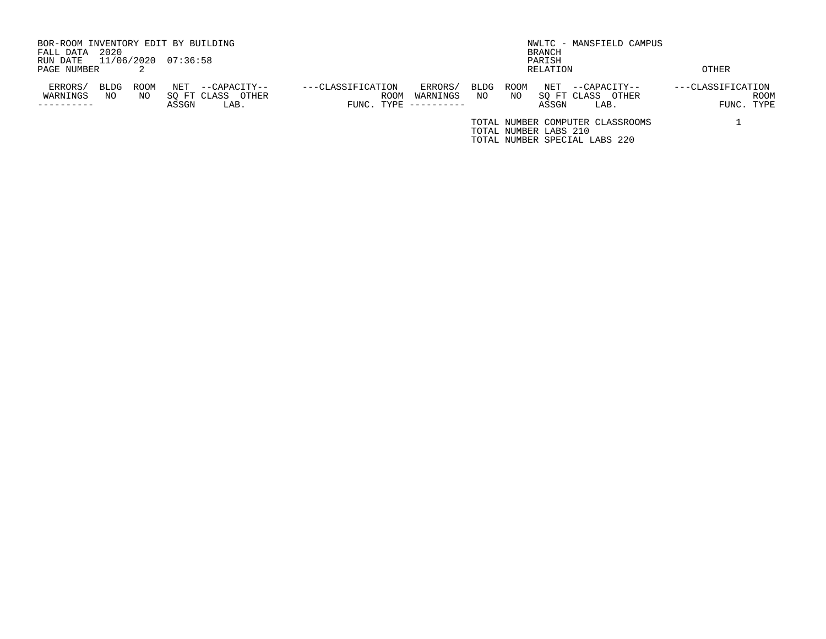| BOR-ROOM INVENTORY EDIT BY BUILDING  |                                   |                         | NWLTC - MANSFIELD CAMPUS         |                   |
|--------------------------------------|-----------------------------------|-------------------------|----------------------------------|-------------------|
| 2020<br>FALL DATA                    |                                   |                         | BRANCH                           |                   |
| 11/06/2020 07:36:58<br>RUN DATE      |                                   |                         | PARISH                           |                   |
| PAGE NUMBER                          |                                   |                         | RELATION                         | OTHER             |
| ERRORS/<br>NET<br>BLDG<br>ROOM       | ---CLASSIFICATION<br>--CAPACITY-- | ERRORS/<br>ROOM<br>BLDG | NET<br>--CAPACITY--              | ---CLASSIFICATION |
| WARNINGS<br>SO FT CLASS<br>NO<br>NO. | OTHER<br><b>ROOM</b>              | NO<br>WARNINGS<br>NO.   | SO FT CLASS<br>OTHER             | <b>ROOM</b>       |
| ASSGN                                | LAB.                              | FUNC. TYPE $------$     | ASSGN<br>LAB.                    | FUNC. TYPE        |
|                                      |                                   |                         | TOTAL NUMBER COMPUTER CLASSROOMS |                   |
|                                      |                                   |                         | TOTAL NUMBER LABS 210            |                   |
|                                      |                                   |                         | TOTAL NUMBER SPECIAL LABS 220    |                   |